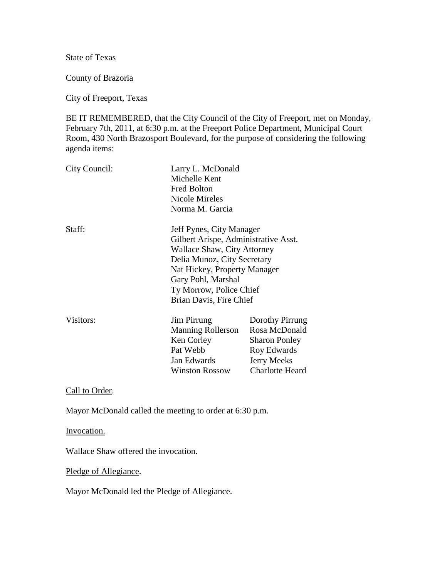State of Texas

County of Brazoria

City of Freeport, Texas

BE IT REMEMBERED, that the City Council of the City of Freeport, met on Monday, February 7th, 2011, at 6:30 p.m. at the Freeport Police Department, Municipal Court Room, 430 North Brazosport Boulevard, for the purpose of considering the following agenda items:

| City Council: | Larry L. McDonald<br>Michelle Kent<br><b>Fred Bolton</b><br><b>Nicole Mireles</b><br>Norma M. Garcia                                                                                                                                       |                                                                                                                  |
|---------------|--------------------------------------------------------------------------------------------------------------------------------------------------------------------------------------------------------------------------------------------|------------------------------------------------------------------------------------------------------------------|
| Staff:        | Jeff Pynes, City Manager<br>Gilbert Arispe, Administrative Asst.<br>Wallace Shaw, City Attorney<br>Delia Munoz, City Secretary<br>Nat Hickey, Property Manager<br>Gary Pohl, Marshal<br>Ty Morrow, Police Chief<br>Brian Davis, Fire Chief |                                                                                                                  |
| Visitors:     | <b>Jim Pirrung</b><br><b>Manning Rollerson</b><br>Ken Corley<br>Pat Webb<br>Jan Edwards<br><b>Winston Rossow</b>                                                                                                                           | Dorothy Pirrung<br>Rosa McDonald<br><b>Sharon Ponley</b><br>Roy Edwards<br><b>Jerry Meeks</b><br>Charlotte Heard |

Call to Order.

Mayor McDonald called the meeting to order at 6:30 p.m.

Invocation.

Wallace Shaw offered the invocation.

Pledge of Allegiance.

Mayor McDonald led the Pledge of Allegiance.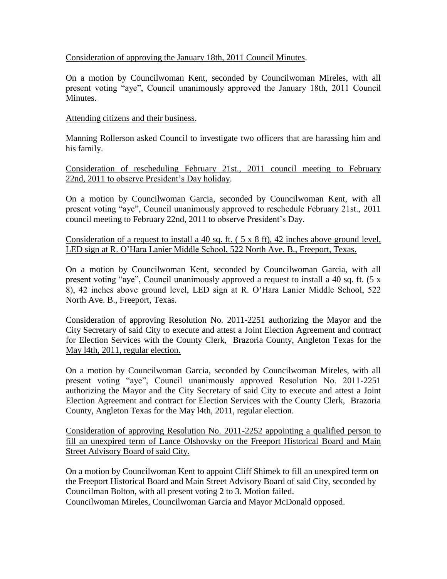## Consideration of approving the January 18th, 2011 Council Minutes.

On a motion by Councilwoman Kent, seconded by Councilwoman Mireles, with all present voting "aye", Council unanimously approved the January 18th, 2011 Council Minutes.

## Attending citizens and their business.

Manning Rollerson asked Council to investigate two officers that are harassing him and his family.

Consideration of rescheduling February 21st., 2011 council meeting to February 22nd, 2011 to observe President's Day holiday.

On a motion by Councilwoman Garcia, seconded by Councilwoman Kent, with all present voting "aye", Council unanimously approved to reschedule February 21st., 2011 council meeting to February 22nd, 2011 to observe President's Day.

Consideration of a request to install a 40 sq. ft. ( 5 x 8 ft), 42 inches above ground level, LED sign at R. O'Hara Lanier Middle School, 522 North Ave. B., Freeport, Texas.

On a motion by Councilwoman Kent, seconded by Councilwoman Garcia, with all present voting "aye", Council unanimously approved a request to install a 40 sq. ft. (5 x 8), 42 inches above ground level, LED sign at R. O'Hara Lanier Middle School, 522 North Ave. B., Freeport, Texas.

Consideration of approving Resolution No. 2011-2251 authorizing the Mayor and the City Secretary of said City to execute and attest a Joint Election Agreement and contract for Election Services with the County Clerk, Brazoria County, Angleton Texas for the May l4th, 2011, regular election.

On a motion by Councilwoman Garcia, seconded by Councilwoman Mireles, with all present voting "aye", Council unanimously approved Resolution No. 2011-2251 authorizing the Mayor and the City Secretary of said City to execute and attest a Joint Election Agreement and contract for Election Services with the County Clerk, Brazoria County, Angleton Texas for the May l4th, 2011, regular election.

Consideration of approving Resolution No. 2011-2252 appointing a qualified person to fill an unexpired term of Lance Olshovsky on the Freeport Historical Board and Main Street Advisory Board of said City.

On a motion by Councilwoman Kent to appoint Cliff Shimek to fill an unexpired term on the Freeport Historical Board and Main Street Advisory Board of said City, seconded by Councilman Bolton, with all present voting 2 to 3. Motion failed. Councilwoman Mireles, Councilwoman Garcia and Mayor McDonald opposed.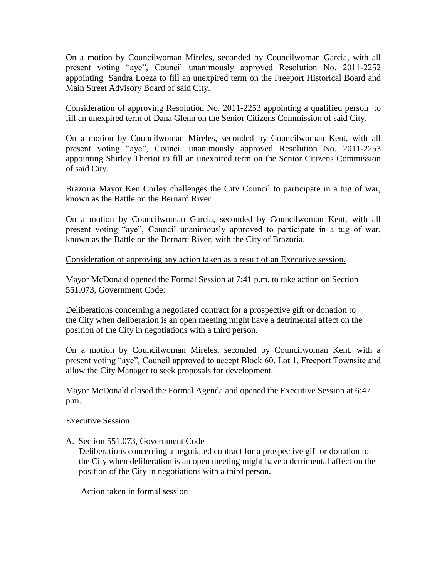On a motion by Councilwoman Mireles, seconded by Councilwoman Garcia, with all present voting "aye", Council unanimously approved Resolution No. 2011-2252 appointing Sandra Loeza to fill an unexpired term on the Freeport Historical Board and Main Street Advisory Board of said City.

Consideration of approving Resolution No. 2011-2253 appointing a qualified person to fill an unexpired term of Dana Glenn on the Senior Citizens Commission of said City.

On a motion by Councilwoman Mireles, seconded by Councilwoman Kent, with all present voting "aye", Council unanimously approved Resolution No. 2011-2253 appointing Shirley Theriot to fill an unexpired term on the Senior Citizens Commission of said City.

Brazoria Mayor Ken Corley challenges the City Council to participate in a tug of war, known as the Battle on the Bernard River.

On a motion by Councilwoman Garcia, seconded by Councilwoman Kent, with all present voting "aye", Council unanimously approved to participate in a tug of war, known as the Battle on the Bernard River, with the City of Brazoria.

## Consideration of approving any action taken as a result of an Executive session.

Mayor McDonald opened the Formal Session at 7:41 p.m. to take action on Section 551.073, Government Code:

Deliberations concerning a negotiated contract for a prospective gift or donation to the City when deliberation is an open meeting might have a detrimental affect on the position of the City in negotiations with a third person.

On a motion by Councilwoman Mireles, seconded by Councilwoman Kent, with a present voting "aye", Council approved to accept Block 60, Lot 1, Freeport Townsite and allow the City Manager to seek proposals for development.

Mayor McDonald closed the Formal Agenda and opened the Executive Session at 6:47 p.m.

Executive Session

A. Section 551.073, Government Code

 Deliberations concerning a negotiated contract for a prospective gift or donation to the City when deliberation is an open meeting might have a detrimental affect on the position of the City in negotiations with a third person.

Action taken in formal session